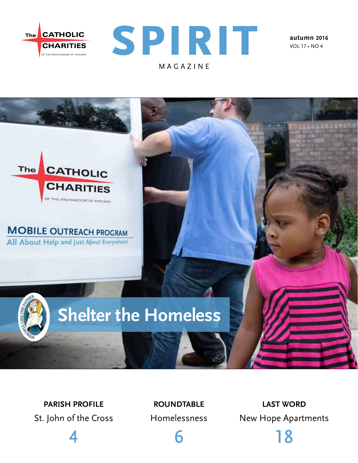



**autumn 2016** vol 17 • no 4



**parish profile**  St. John of the Cross

4

**roundtable**  Homelessness

6

**last word** New Hope Apartments

18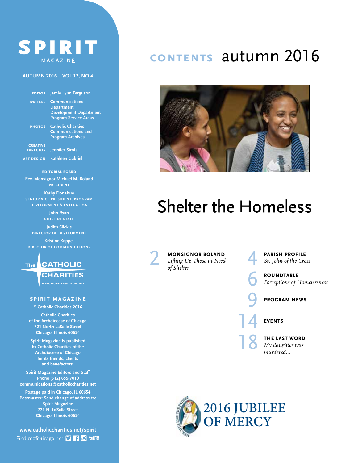### SPIRIT **MAGAZINE**

#### **autumn 2016 vol 17, no 4**

 **editor Jamie Lynn Ferguson**

**writers Communications Department Development Department Program Service Areas**

**photos Catholic Charities Communications and Program Archives**

**creative director Jennifer Sirota**

**art design Kathleen Gabriel**

**editorial board**

**Rev. Monsignor Michael M. Boland president**

**Kathy Donahue senior vice president, program development & evaluation**

> **John Ryan chief of staff**

**Judith Silekis director of development**

**Kristine Kappel director of communications**

**CATHOLIC** The

> **CHARITIES** OF THE ARCHDIOCESE OF CHICAGO

#### **spirit magazine**

**© Catholic Charities 2016**

**Catholic Charities of the Archdiocese of Chicago 721 North LaSalle Street Chicago, Illinois 60654**

**Spirit Magazine is published by Catholic Charities of the Archdiocese of Chicago for its friends, clients and benefactors.**

**Spirit Magazine Editors and Staff Phone (312) 655-7010 communications@catholiccharities.net**

**Postage paid in Chicago, IL 60654 Postmaster: Send change of address to: Spirit Magazine 721 N. LaSalle Street Chicago, Illinois 60654**

**www.catholiccharities.net/spirit** Find ccofchicago on: [] [] [] Youther

### **contents** autumn 2016



# Shelter the Homeless

**MONSIGNOR BOLAND**<br>*Lifting Up Those in Need*<br>of Shelter *Lifting Up Those in Need of Shelter*

**PARISH PROFILE**<br>St. John of the Cro *St. John of the Cross*

**ROUNDTABLE**<br>Perceptions of l *Perceptions of Homelessness*

9 **program news**

14 **events**

**THE LAST WORD** *My daughter was murdered…*

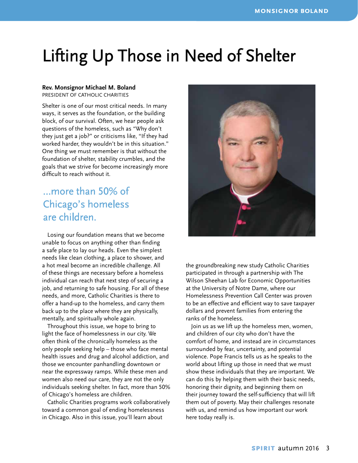# Lifting Up Those in Need of Shelter

#### **Rev. Monsignor Michael M. Boland**

president of catholic charities

Shelter is one of our most critical needs. In many ways, it serves as the foundation, or the building block, of our survival. Often, we hear people ask questions of the homeless, such as "Why don't they just get a job?" or criticisms like, "If they had worked harder, they wouldn't be in this situation." One thing we must remember is that without the foundation of shelter, stability crumbles, and the goals that we strive for become increasingly more difficult to reach without it.

### …more than 50% of Chicago's homeless are children.

Losing our foundation means that we become unable to focus on anything other than finding a safe place to lay our heads. Even the simplest needs like clean clothing, a place to shower, and a hot meal become an incredible challenge. All of these things are necessary before a homeless individual can reach that next step of securing a job, and returning to safe housing. For all of these needs, and more, Catholic Charities is there to offer a hand-up to the homeless, and carry them back up to the place where they are physically, mentally, and spiritually whole again.

Throughout this issue, we hope to bring to light the face of homelessness in our city. We often think of the chronically homeless as the only people seeking help – those who face mental health issues and drug and alcohol addiction, and those we encounter panhandling downtown or near the expressway ramps. While these men and women also need our care, they are not the only individuals seeking shelter. In fact, more than 50% of Chicago's homeless are children.

Catholic Charities programs work collaboratively toward a common goal of ending homelessness in Chicago. Also in this issue, you'll learn about



the groundbreaking new study Catholic Charities participated in through a partnership with The Wilson Sheehan Lab for Economic Opportunities at the University of Notre Dame, where our Homelessness Prevention Call Center was proven to be an effective and efficient way to save taxpayer dollars and prevent families from entering the ranks of the homeless.

Join us as we lift up the homeless men, women, and children of our city who don't have the comfort of home, and instead are in circumstances surrounded by fear, uncertainty, and potential violence. Pope Francis tells us as he speaks to the world about lifting up those in need that we must show these individuals that they are important. We can do this by helping them with their basic needs, honoring their dignity, and beginning them on their journey toward the self-sufficiency that will lift them out of poverty. May their challenges resonate with us, and remind us how important our work here today really is.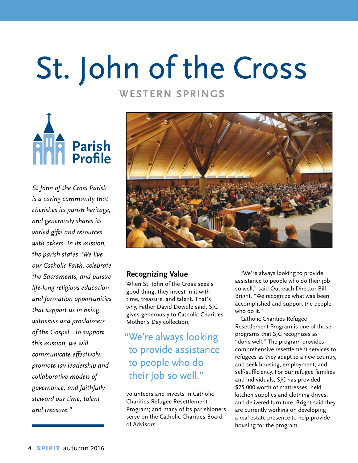# St. John of the Cross

#### **Western Springs**

**Parish Profile**

*St John of the Cross Parish is a caring community that cherishes its parish heritage, and generously shares its varied gifts and resources with others. In its mission, the parish states "We live our Catholic Faith, celebrate the Sacraments, and pursue life-long religious education and formation opportunities that support us in being witnesses and proclaimers of the Gospel…To support this mission, we will communicate effectively, promote lay leadership and collaborative models of governance, and faithfully steward our time, talent and treasure."*



#### **Recognizing Value**

When St. John of the Cross sees a good thing, they invest in it with time, treasure, and talent. That's why, Father David Dowdle said, SJC gives generously to Catholic Charities Mother's Day collection;

"We're always looking to provide assistance to people who do their job so well."

volunteers and invests in Catholic Charities Refugee Resettlement Program; and many of its parishioners serve on the Catholic Charities Board of Advisors.

"We're always looking to provide assistance to people who do their job so well," said Outreach Director Bill Bright. "We recognize what was been accomplished and support the people who do it."

Catholic Charities Refugee Resettlement Program is one of those programs that SJC recognizes as "done well." The program provides comprehensive resettlement services to refugees as they adapt to a new country, and seek housing, employment, and self-sufficiency. For our refugee families and individuals, SJC has provided \$25,000 worth of mattresses, held kitchen supplies and clothing drives, and delivered furniture. Bright said they are currently working on developing a real estate presence to help provide housing for the program.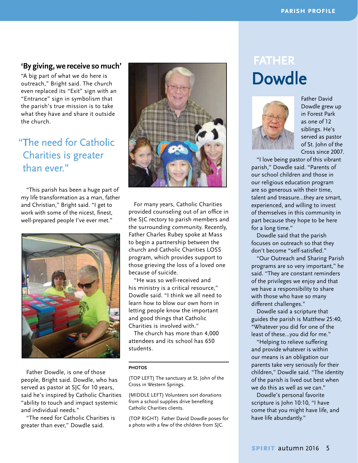#### **'By giving, we receive so much'**

"A big part of what we do here is outreach," Bright said. The church even replaced its "Exit" sign with an "Entrance" sign in symbolism that the parish's true mission is to take what they have and share it outside the church.

### " The need for Catholic Charities is greater than ever."

"This parish has been a huge part of my life transformation as a man, father and Christian," Bright said. "I get to work with some of the nicest, finest, well-prepared people I've ever met."



Father Dowdle, is one of those people, Bright said. Dowdle, who has served as pastor at SJC for 10 years, said he's inspired by Catholic Charities "ability to touch and impact systemic and individual needs."

"The need for Catholic Charities is greater than ever," Dowdle said.



For many years, Catholic Charities provided counseling out of an office in the SJC rectory to parish members and the surrounding community. Recently, Father Charles Rubey spoke at Mass to begin a partnership between the church and Catholic Charities LOSS program, which provides support to those grieving the loss of a loved one because of suicide.

"He was so well-received and his ministry is a critical resource," Dowdle said. "I think we all need to learn how to blow our own horn in letting people know the important and good things that Catholic Charities is involved with."

The church has more than 4,000 attendees and its school has 650 students.

#### **PHOTOS**

(TOP LEFT) The sanctuary at St. John of the Cross in Western Springs.

(MIDDLE LEFT) Volunteers sort donations from a school supplies drive benefiting Catholic Charities clients.

(TOP RIGHT) Father David Dowdle poses for a photo with a few of the children from SJC.

## father Dowdle



Father David Dowdle grew up in Forest Park as one of 12 siblings. He's served as pastor of St. John of the Cross since 2007.

"I love being pastor of this vibrant parish," Dowdle said. "Parents of our school children and those in our religious education program are so generous with their time, talent and treasure…they are smart, experienced, and willing to invest of themselves in this community in part because they hope to be here for a long time."

Dowdle said that the parish focuses on outreach so that they don't become "self-satisfied."

"Our Outreach and Sharing Parish programs are so very important," he said. "They are constant reminders of the privileges we enjoy and that we have a responsibility to share with those who have so many different challenges."

Dowdle said a scripture that guides the parish is Matthew 25:40, "Whatever you did for one of the least of these…you did for me."

"Helping to relieve suffering and provide whatever is within our means is an obligation our parents take very seriously for their children," Dowdle said. "The identity of the parish is lived out best when we do this as well as we can."

Dowdle's personal favorite scripture is John 10:10, "I have come that you might have life, and have life abundantly."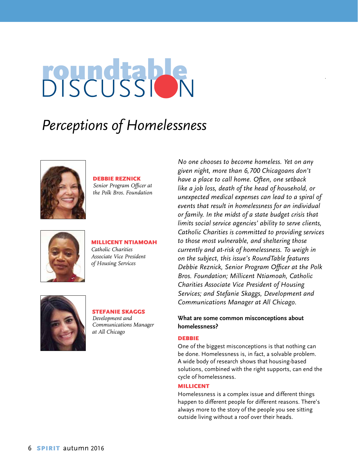# BISCUSSION

## *Perceptions of Homelessness*



Debbie Reznick *Senior Program Officer at* 

*the Polk Bros. Foundation* 



Millicent Ntiamoah *Catholic Charities Associate Vice President of Housing Services*



#### Stefanie Skaggs *Development and*

*Communications Manager at All Chicago*

*No one chooses to become homeless. Yet on any given night, more than 6,700 Chicagoans don't have a place to call home. Often, one setback like a job loss, death of the head of household, or unexpected medical expenses can lead to a spiral of events that result in homelessness for an individual or family. In the midst of a state budget crisis that limits social service agencies' ability to serve clients, Catholic Charities is committed to providing services to those most vulnerable, and sheltering those currently and at-risk of homelessness. To weigh in on the subject, this issue's RoundTable features Debbie Reznick, Senior Program Officer at the Polk Bros. Foundation; Millicent Ntiamoah, Catholic Charities Associate Vice President of Housing Services; and Stefanie Skaggs, Development and Communications Manager at All Chicago.*

#### **What are some common misconceptions about homelessness?**

#### **DEBBIE**

One of the biggest misconceptions is that nothing can be done. Homelessness is, in fact, a solvable problem. A wide body of research shows that housing-based solutions, combined with the right supports, can end the cycle of homelessness.

#### Millicent

Homelessness is a complex issue and different things happen to different people for different reasons. There's always more to the story of the people you see sitting outside living without a roof over their heads.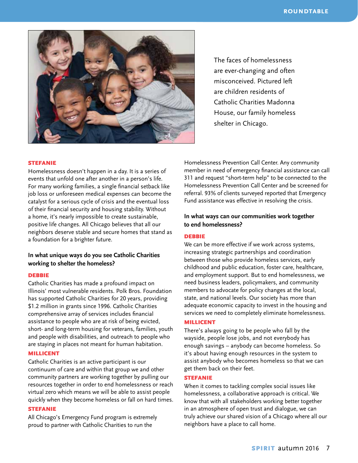

The faces of homelessness are ever-changing and often misconceived. Pictured left are children residents of Catholic Charities Madonna House, our family homeless shelter in Chicago.

#### **STEFANIE**

Homelessness doesn't happen in a day. It is a series of events that unfold one after another in a person's life. For many working families, a single financial setback like job loss or unforeseen medical expenses can become the catalyst for a serious cycle of crisis and the eventual loss of their financial security and housing stability. Without a home, it's nearly impossible to create sustainable, positive life changes. All Chicago believes that all our neighbors deserve stable and secure homes that stand as a foundation for a brighter future.

#### **In what unique ways do you see Catholic Charities working to shelter the homeless?**

#### **DEBBIE**

Catholic Charities has made a profound impact on Illinois' most vulnerable residents. Polk Bros. Foundation has supported Catholic Charities for 20 years, providing \$1.2 million in grants since 1996. Catholic Charities comprehensive array of services includes financial assistance to people who are at risk of being evicted, short- and long-term housing for veterans, families, youth and people with disabilities, and outreach to people who are staying in places not meant for human habitation.

#### Millicent

Catholic Charities is an active participant is our continuum of care and within that group we and other community partners are working together by pulling our resources together in order to end homelessness or reach virtual zero which means we will be able to assist people quickly when they become homeless or fall on hard times.

#### **STEFANIE**

All Chicago's Emergency Fund program is extremely proud to partner with Catholic Charities to run the

Homelessness Prevention Call Center. Any community member in need of emergency financial assistance can call 311 and request "short-term help" to be connected to the Homelessness Prevention Call Center and be screened for referral. 93% of clients surveyed reported that Emergency Fund assistance was effective in resolving the crisis.

#### **In what ways can our communities work together to end homelessness?**

#### **DEBBIE**

We can be more effective if we work across systems, increasing strategic partnerships and coordination between those who provide homeless services, early childhood and public education, foster care, healthcare, and employment support. But to end homelessness, we need business leaders, policymakers, and community members to advocate for policy changes at the local, state, and national levels. Our society has more than adequate economic capacity to invest in the housing and services we need to completely eliminate homelessness.

#### Millicent

There's always going to be people who fall by the wayside, people lose jobs, and not everybody has enough savings – anybody can become homeless. So it's about having enough resources in the system to assist anybody who becomes homeless so that we can get them back on their feet.

#### **STEFANIE**

When it comes to tackling complex social issues like homelessness, a collaborative approach is critical. We know that with all stakeholders working better together in an atmosphere of open trust and dialogue, we can truly achieve our shared vision of a Chicago where all our neighbors have a place to call home.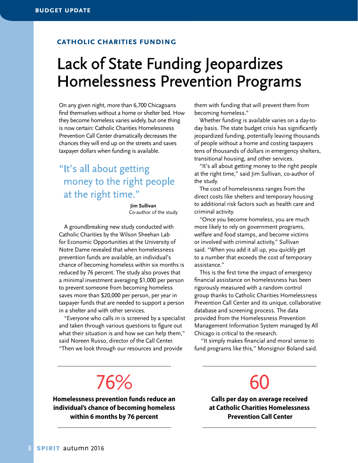#### **catholic charities funding**

### Lack of State Funding Jeopardizes Homelessness Prevention Programs

On any given night, more than 6,700 Chicagoans find themselves without a home or shelter bed. How they become homeless varies widely, but one thing is now certain: Catholic Charities Homelessness Prevention Call Center dramatically decreases the chances they will end up on the streets and saves taxpayer dollars when funding is available.

### "It's all about getting" money to the right people at the right time."

 **Jim Sullivan** Co-author of the study

A groundbreaking new study conducted with Catholic Charities by the Wilson Sheehan Lab for Economic Opportunities at the University of Notre Dame revealed that when homelessness prevention funds are available, an individual's chance of becoming homeless within six months is reduced by 76 percent. The study also proves that a minimal investment averaging \$1,000 per person to prevent someone from becoming homeless saves more than \$20,000 per person, per year in taxpayer funds that are needed to support a person in a shelter and with other services.

"Everyone who calls in is screened by a specialist and taken through various questions to figure out what their situation is and how we can help them." said Noreen Russo, director of the Call Center. "Then we look through our resources and provide

them with funding that will prevent them from becoming homeless."

Whether funding is available varies on a day-today basis. The state budget crisis has significantly jeopardized funding, potentially leaving thousands of people without a home and costing taxpayers tens of thousands of dollars in emergency shelters, transitional housing, and other services.

"It's all about getting money to the right people at the right time," said Jim Sullivan, co-author of the study.

The cost of homelessness ranges from the direct costs like shelters and temporary housing to additional risk factors such as health care and criminal activity.

"Once you become homeless, you are much more likely to rely on government programs, welfare and food stamps, and become victims or involved with criminal activity," Sullivan said. "When you add it all up, you quickly get to a number that exceeds the cost of temporary assistance."

This is the first time the impact of emergency financial assistance on homelessness has been rigorously measured with a random control group thanks to Catholic Charities Homelessness Prevention Call Center and its unique, collaborative database and screening process. The data provided from the Homelessness Prevention Management Information System managed by All Chicago is critical to the research.

 "It simply makes financial and moral sense to fund programs like this," Monsignor Boland said.

# 76%

**Homelessness prevention funds reduce an individual's chance of becoming homeless within 6 months by 76 percent**

60

**Calls per day on average received at Catholic Charities Homelessness Prevention Call Center**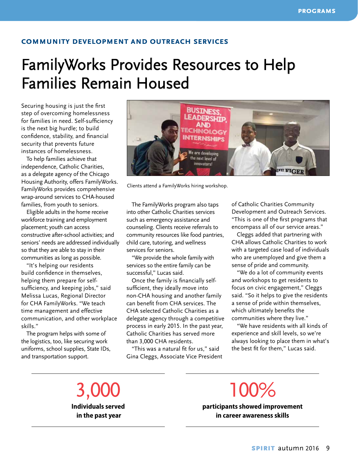#### **community development and outreach services**

# FamilyWorks Provides Resources to Help Families Remain Housed

Securing housing is just the first step of overcoming homelessness for families in need. Self-sufficiency is the next big hurdle; to build confidence, stability, and financial security that prevents future instances of homelessness.

To help families achieve that independence, Catholic Charities, as a delegate agency of the Chicago Housing Authority, offers FamilyWorks. FamilyWorks provides comprehensive wrap-around services to CHA-housed families, from youth to seniors.

Eligible adults in the home receive workforce training and employment placement; youth can access constructive after-school activities; and seniors' needs are addressed individually so that they are able to stay in their communities as long as possible.

"It's helping our residents build confidence in themselves, helping them prepare for selfsufficiency, and keeping jobs," said Melissa Lucas, Regional Director for CHA FamilyWorks. "We teach time management and effective communication, and other workplace skills."

The program helps with some of the logistics, too, like securing work uniforms, school supplies, State IDs, and transportation support.



Clients attend a FamilyWorks hiring workshop.

The FamilyWorks program also taps into other Catholic Charities services such as emergency assistance and counseling. Clients receive referrals to community resources like food pantries, child care, tutoring, and wellness services for seniors.

"We provide the whole family with services so the entire family can be successful," Lucas said.

Once the family is financially selfsufficient, they ideally move into non-CHA housing and another family can benefit from CHA services. The CHA selected Catholic Charities as a delegate agency through a competitive process in early 2015. In the past year, Catholic Charities has served more than 3,000 CHA residents.

"This was a natural fit for us," said Gina Cleggs, Associate Vice President of Catholic Charities Community Development and Outreach Services. "This is one of the first programs that encompass all of our service areas."

Cleggs added that partnering with CHA allows Catholic Charities to work with a targeted case load of individuals who are unemployed and give them a sense of pride and community.

"We do a lot of community events and workshops to get residents to focus on civic engagement," Cleggs said. "So it helps to give the residents a sense of pride within themselves, which ultimately benefits the communities where they live."

"We have residents with all kinds of experience and skill levels, so we're always looking to place them in what's the best fit for them," Lucas said.

3,000 **Individuals served in the past year**

100<sup>%</sup> **participants showed improvement in career awareness skills**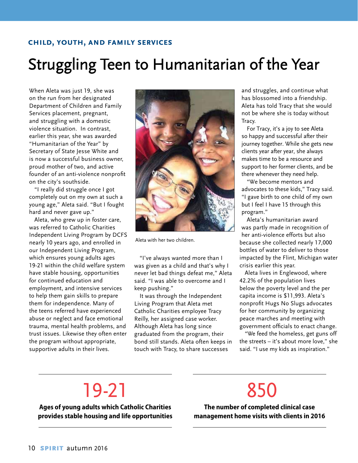#### **child, youth, and family services**

# Struggling Teen to Humanitarian of the Year

When Aleta was just 19, she was on the run from her designated Department of Children and Family Services placement, pregnant, and struggling with a domestic violence situation. In contrast, earlier this year, she was awarded "Humanitarian of the Year" by Secretary of State Jesse White and is now a successful business owner, proud mother of two, and active founder of an anti-violence nonprofit on the city's southside.

"I really did struggle once I got completely out on my own at such a young age," Aleta said. "But I fought hard and never gave up."

Aleta, who grew up in foster care, was referred to Catholic Charities Independent Living Program by DCFS nearly 10 years ago, and enrolled in our Independent Living Program, which ensures young adults ages 19-21 within the child welfare system have stable housing, opportunities for continued education and employment, and intensive services to help them gain skills to prepare them for independence. Many of the teens referred have experienced abuse or neglect and face emotional trauma, mental health problems, and trust issues. Likewise they often enter the program without appropriate, supportive adults in their lives.



Aleta with her two children.

"I've always wanted more than I was given as a child and that's why I never let bad things defeat me," Aleta said. "I was able to overcome and I keep pushing."

It was through the Independent Living Program that Aleta met Catholic Charities employee Tracy Reilly, her assigned case worker. Although Aleta has long since graduated from the program, their bond still stands. Aleta often keeps in touch with Tracy, to share successes

and struggles, and continue what has blossomed into a friendship. Aleta has told Tracy that she would not be where she is today without Tracy.

For Tracy, it's a joy to see Aleta so happy and successful after their journey together. While she gets new clients year after year, she always makes time to be a resource and support to her former clients, and be there whenever they need help.

"We become mentors and advocates to these kids," Tracy said. "I gave birth to one child of my own but I feel I have 15 through this program."

Aleta's humanitarian award was partly made in recognition of her anti-violence efforts but also because she collected nearly 17,000 bottles of water to deliver to those impacted by the Flint, Michigan water crisis earlier this year.

Aleta lives in Englewood, where 42.2% of the population lives below the poverty level and the per capita income is \$11,993. Aleta's nonprofit Hugs No Slugs advocates for her community by organizing peace marches and meeting with government officials to enact change.

"We feed the homeless, get guns off the streets – it's about more love," she said. "I use my kids as inspiration."

# 19-21

**Ages of young adults which Catholic Charities provides stable housing and life opportunities**

# 850

**The number of completed clinical case management home visits with clients in 2016**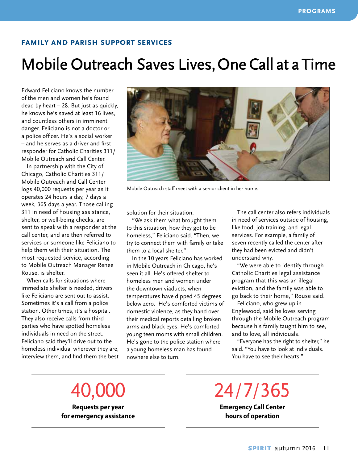#### **family and parish support services**

### Mobile Outreach Saves Lives, One Call at a Time

Edward Feliciano knows the number of the men and women he's found dead by heart – 28. But just as quickly, he knows he's saved at least 16 lives, and countless others in imminent danger. Feliciano is not a doctor or a police officer. He's a social worker – and he serves as a driver and first responder for Catholic Charities 311/ Mobile Outreach and Call Center.

In partnership with the City of Chicago, Catholic Charities 311/ Mobile Outreach and Call Center logs 40,000 requests per year as it operates 24 hours a day, 7 days a week, 365 days a year. Those calling 311 in need of housing assistance, shelter, or well-being checks, are sent to speak with a responder at the call center, and are then referred to services or someone like Feliciano to help them with their situation. The most requested service, according to Mobile Outreach Manager Renee Rouse, is shelter.

When calls for situations where immediate shelter is needed, drivers like Feliciano are sent out to assist. Sometimes it's a call from a police station. Other times, it's a hospital. They also receive calls from third parties who have spotted homeless individuals in need on the street. Feliciano said they'll drive out to the homeless individual wherever they are, interview them, and find them the best



Mobile Outreach staff meet with a senior client in her home.

solution for their situation.

"We ask them what brought them to this situation, how they got to be homeless," Feliciano said. "Then, we try to connect them with family or take them to a local shelter."

In the 10 years Feliciano has worked in Mobile Outreach in Chicago, he's seen it all. He's offered shelter to homeless men and women under the downtown viaducts, when temperatures have dipped 45 degrees below zero. He's comforted victims of domestic violence, as they hand over their medical reports detailing broken arms and black eyes. He's comforted young teen moms with small children. He's gone to the police station where a young homeless man has found nowhere else to turn.

The call center also refers individuals in need of services outside of housing, like food, job training, and legal services. For example, a family of seven recently called the center after they had been evicted and didn't understand why.

"We were able to identify through Catholic Charities legal assistance program that this was an illegal eviction, and the family was able to go back to their home," Rouse said.

Feliciano, who grew up in Englewood, said he loves serving through the Mobile Outreach program because his family taught him to see, and to love, all individuals.

"Everyone has the right to shelter," he said. "You have to look at individuals. You have to see their hearts."

40,000 **Requests per year**

**for emergency assistance**

24/7/365 **Emergency Call Center**

**hours of operation**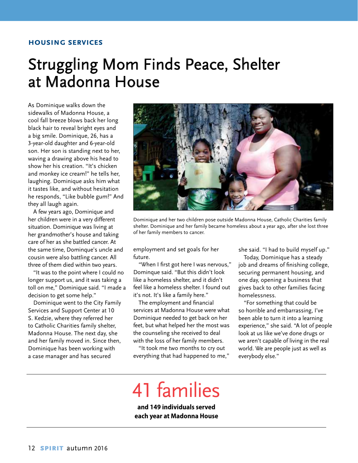#### **housing services**

## Struggling Mom Finds Peace, Shelter at Madonna House

As Dominique walks down the sidewalks of Madonna House, a cool fall breeze blows back her long black hair to reveal bright eyes and a big smile. Dominique, 26, has a 3-year-old daughter and 6-year-old son. Her son is standing next to her, waving a drawing above his head to show her his creation. "It's chicken and monkey ice cream!" he tells her, laughing. Dominique asks him what it tastes like, and without hesitation he responds, "Like bubble gum!" And they all laugh again.

A few years ago, Dominique and her children were in a very different situation. Dominique was living at her grandmother's house and taking care of her as she battled cancer. At the same time, Dominque's uncle and cousin were also battling cancer. All three of them died within two years.

"It was to the point where I could no longer support us, and it was taking a toll on me," Dominique said. "I made a decision to get some help."

Dominique went to the City Family Services and Support Center at 10 S. Kedzie, where they referred her to Catholic Charities family shelter, Madonna House. The next day, she and her family moved in. Since then, Dominique has been working with a case manager and has secured



Dominique and her two children pose outside Madonna House, Catholic Charities family shelter. Dominique and her family became homeless about a year ago, after she lost three of her family members to cancer.

employment and set goals for her future.

"When I first got here I was nervous," Dominque said. "But this didn't look like a homeless shelter, and it didn't feel like a homeless shelter. I found out it's not. It's like a family here."

The employment and financial services at Madonna House were what Dominique needed to get back on her feet, but what helped her the most was the counseling she received to deal with the loss of her family members.

"It took me two months to cry out everything that had happened to me," she said. "I had to build myself up."

Today, Dominique has a steady job and dreams of finishing college, securing permanent housing, and one day, opening a business that gives back to other families facing homelessness.

"For something that could be so horrible and embarrassing, I've been able to turn it into a learning experience," she said. "A lot of people look at us like we've done drugs or we aren't capable of living in the real world. We are people just as well as everybody else."

# 41 families

**and 149 individuals served each year at Madonna House**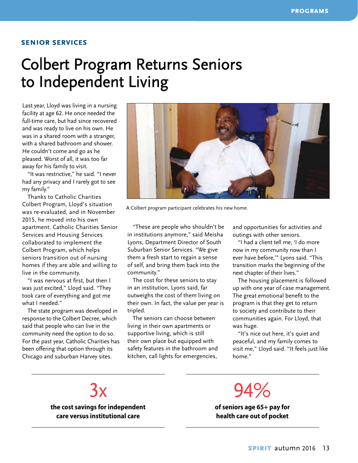#### **senior services**

### Colbert Program Returns Seniors to Independent Living

Last year, Lloyd was living in a nursing facility at age 62. He once needed the full-time care, but had since recovered and was ready to live on his own. He was in a shared room with a stranger, with a shared bathroom and shower. He couldn't come and go as he pleased. Worst of all, it was too far away for his family to visit.

"It was restrictive," he said. "I never had any privacy and I rarely got to see my family."

Thanks to Catholic Charities Colbert Program, Lloyd's situation was re-evaluated, and in November 2015, he moved into his own apartment. Catholic Charities Senior Services and Housing Services collaborated to implement the Colbert Program, which helps seniors transition out of nursing homes if they are able and willing to live in the community.

"I was nervous at first, but then I was just excited," Lloyd said. "They took care of everything and got me what I needed."

The state program was developed in response to the Colbert Decree, which said that people who can live in the community need the option to do so. For the past year, Catholic Charities has been offering that option through its Chicago and suburban Harvey sites.



A Colbert program participant celebrates his new home.

"These are people who shouldn't be in institutions anymore," said Meisha Lyons, Department Director of South Suburban Senior Services. "We give them a fresh start to regain a sense of self, and bring them back into the community."

The cost for these seniors to stay in an institution, Lyons said, far outweighs the cost of them living on their own. In fact, the value per year is tripled.

The seniors can choose between living in their own apartments or supportive living, which is still their own place but equipped with safety features in the bathroom and kitchen, call lights for emergencies,

and opportunities for activities and outings with other seniors.

"I had a client tell me, 'I do more now in my community now than I ever have before,'" Lyons said. "This transition marks the beginning of the next chapter of their lives."

The housing placement is followed up with one year of case management. The great emotional benefit to the program is that they get to return to society and contribute to their communities again. For Lloyd, that was huge.

"It's nice out here, it's quiet and peaceful, and my family comes to visit me," Lloyd said. "It feels just like home."

 $3x$ **the cost savings for independent care versus institutional care**

94%

**of seniors age 65+ pay for health care out of pocket**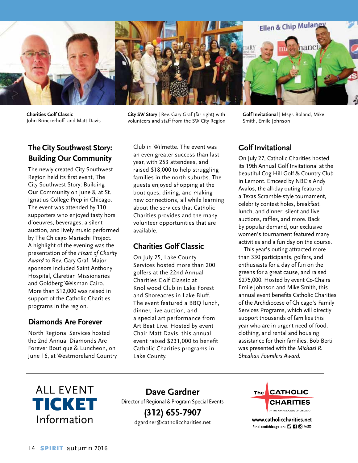

**Charities Golf Classic** John Brinckerhoff and Matt Davis

#### **The City Southwest Story: Building Our Community**

The newly created City Southwest Region held its first event, The City Southwest Story: Building Our Community on June 8, at St. Ignatius College Prep in Chicago. The event was attended by 110 supporters who enjoyed tasty hors d'oeuvres, beverages, a silent auction, and lively music performed by The Chicago Mariachi Project. A highlight of the evening was the presentation of the *Heart of Charity Award t*o Rev. Gary Graf. Major sponsors included Saint Anthony Hospital, Claretian Missionaries and Goldberg Weisman Cairo. More than \$12,000 was raised in support of the Catholic Charities programs in the region.

#### **Diamonds Are Forever**

North Regional Services hosted the 2nd Annual Diamonds Are Forever Boutique & Luncheon, on June 16, at Westmoreland Country **City SW Story** | Rev. Gary Graf (far right) with volunteers and staff from the SW City Region

Club in Wilmette. The event was an even greater success than last year, with 253 attendees, and raised \$18,000 to help struggling families in the north suburbs. The guests enjoyed shopping at the boutiques, dining, and making new connections, all while learning about the services that Catholic Charities provides and the many volunteer opportunities that are available.

#### **Charities Golf Classic**

On July 25, Lake County Services hosted more than 200 golfers at the 22nd Annual Charities Golf Classic at Knollwood Club in Lake Forest and Shoreacres in Lake Bluff. The event featured a BBQ lunch, dinner, live auction, and a special art performance from Art Beat Live. Hosted by event Chair Matt Davis, this annual event raised \$231,000 to benefit Catholic Charities programs in Lake County.

**Golf Invitational** | Msgr. Boland, Mike Smith, Emile Johnson

#### **Golf Invitational**

On July 27, Catholic Charities hosted its 19th Annual Golf Invitational at the beautiful Cog Hill Golf & Country Club in Lemont. Emceed by NBC's Andy Avalos, the all-day outing featured a Texas Scramble-style tournament, celebrity contest holes, breakfast, lunch, and dinner; silent and live auctions, raffles, and more. Back by popular demand, our exclusive women's tournament featured many activities and a fun day on the course.

This year's outing attracted more than 330 participants, golfers, and enthusiasts for a day of fun on the greens for a great cause, and raised \$275,000. Hosted by event Co-Chairs Emile Johnson and Mike Smith, this annual event benefits Catholic Charities of the Archdiocese of Chicago's Family Services Programs, which will directly support thousands of families this year who are in urgent need of food, clothing, and rental and housing assistance for their families. Bob Berti was presented with the *Michael R. Sheahan Founders Award.*



**Dave Gardner** Director of Regional & Program Special Events **(312) 655-7907**

dgardner@catholiccharities.net



www.catholiccharities.net Find ccofchicago on: [] [] [] [o] You [1]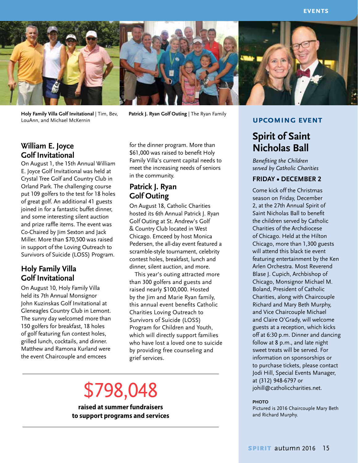

**Holy Family Villa Golf Invitational** | Tim, Bev, LouAnn, and Michael McKernin

**Patrick J. Ryan Golf Outing** | The Ryan Family

#### **William E. Joyce Golf Invitational**

On August 1, the 15th Annual William E. Joyce Golf Invitational was held at Crystal Tree Golf and Country Club in Orland Park. The challenging course put 109 golfers to the test for 18 holes of great golf. An additional 41 guests joined in for a fantastic buffet dinner, and some interesting silent auction and prize raffle items. The event was Co-Chaired by Jim Sexton and Jack Miller. More than \$70,500 was raised in support of the Loving Outreach to Survivors of Suicide (LOSS) Program.

#### **Holy Family Villa Golf Invitational**

On August 10, Holy Family Villa held its 7th Annual Monsignor John Kuzinskas Golf Invitational at Gleneagles Country Club in Lemont. The sunny day welcomed more than 150 golfers for breakfast, 18 holes of golf featuring fun contest holes, grilled lunch, cocktails, and dinner. Matthew and Ramona Kurland were the event Chaircouple and emcees

for the dinner program. More than \$61,000 was raised to benefit Holy Family Villa's current capital needs to meet the increasing needs of seniors in the community.

#### **Patrick J. Ryan Golf Outing**

On August 18, Catholic Charities hosted its 6th Annual Patrick J. Ryan Golf Outing at St. Andrew's Golf & Country Club located in West Chicago. Emceed by host Monica Pedersen, the all-day event featured a scramble-style tournament, celebrity contest holes, breakfast, lunch and dinner, silent auction, and more.

This year's outing attracted more than 300 golfers and guests and raised nearly \$100,000. Hosted by the Jim and Marie Ryan family, this annual event benefits Catholic Charities Loving Outreach to Survivors of Suicide (LOSS) Program for Children and Youth, which will directly support families who have lost a loved one to suicide by providing free counseling and grief services.

# \$798,048

**raised at summer fundraisers to support programs and services** 

### **Spirit of Saint**

**upcoming event**

# **Nicholas Ball**

*Benefiting the Children served by Catholic Charities*

#### **Friday • December 2**

Come kick off the Christmas season on Friday, December 2, at the 27th Annual Spirit of Saint Nicholas Ball to benefit the children served by Catholic Charities of the Archdiocese of Chicago. Held at the Hilton Chicago, more than 1,300 guests will attend this black tie event featuring entertainment by the Ken Arlen Orchestra. Most Reverend Blase J. Cupich, Archbishop of Chicago, Monsignor Michael M. Boland, President of Catholic Charities, along with Chaircouple Richard and Mary Beth Murphy, and Vice Chaircouple Michael and Claire O'Grady, will welcome guests at a reception, which kicks off at 6:30 p.m. Dinner and dancing follow at 8 p.m., and late night sweet treats will be served. For information on sponsorships or to purchase tickets, please contact Jodi Hill, Special Events Manager, at (312) 948-6797 or johill@catholiccharities.net.

#### **PHOTO**

Pictured is 2016 Chaircouple Mary Beth and Richard Murphy.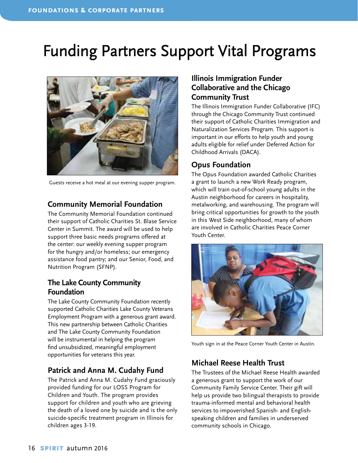## Funding Partners Support Vital Programs



Guests receive a hot meal at our evening supper program.

#### **Community Memorial Foundation**

The Community Memorial Foundation continued their support of Catholic Charities St. Blase Service Center in Summit. The award will be used to help support three basic needs programs offered at the center: our weekly evening supper program for the hungry and/or homeless; our emergency assistance food pantry; and our Senior, Food, and Nutrition Program (SFNP).

#### **The Lake County Community Foundation**

The Lake County Community Foundation recently supported Catholic Charities Lake County Veterans Employment Program with a generous grant award. This new partnership between Catholic Charities and The Lake County Community Foundation will be instrumental in helping the program find unsubsidized, meaningful employment opportunities for veterans this year.

#### **Patrick and Anna M. Cudahy Fund**

The Patrick and Anna M. Cudahy Fund graciously provided funding for our LOSS Program for Children and Youth. The program provides support for children and youth who are grieving the death of a loved one by suicide and is the only suicide-specific treatment program in Illinois for children ages 3-19.

#### **Illinois Immigration Funder Collaborative and the Chicago Community Trust**

The Illinois Immigration Funder Collaborative (IFC) through the Chicago Community Trust continued their support of Catholic Charities Immigration and Naturalization Services Program. This support is important in our efforts to help youth and young adults eligible for relief under Deferred Action for Childhood Arrivals (DACA).

#### **Opus Foundation**

The Opus Foundation awarded Catholic Charities a grant to launch a new Work Ready program, which will train out-of-school young adults in the Austin neighborhood for careers in hospitality, metalworking, and warehousing. The program will bring critical opportunities for growth to the youth in this West Side neighborhood, many of whom are involved in Catholic Charities Peace Corner Youth Center.



Youth sign in at the Peace Corner Youth Center in Austin.

#### **Michael Reese Health Trust**

The Trustees of the Michael Reese Health awarded a generous grant to support the work of our Community Family Service Center. Their gift will help us provide two bilingual therapists to provide trauma-informed mental and behavioral health services to impoverished Spanish- and Englishspeaking children and families in underserved community schools in Chicago.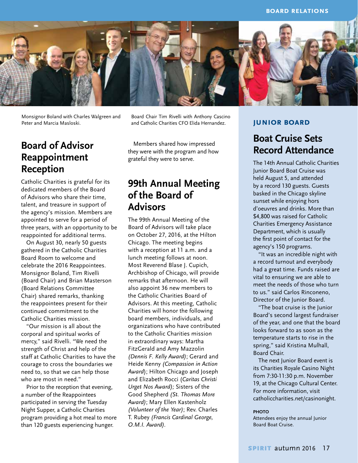

Monsignor Boland with Charles Walgreen and Peter and Marcia Masloski.

#### **Board of Advisor Reappointment Reception**

Catholic Charities is grateful for its dedicated members of the Board of Advisors who share their time, talent, and treasure in support of the agency's mission. Members are appointed to serve for a period of three years, with an opportunity to be reappointed for additional terms.

On August 30, nearly 50 guests gathered in the Catholic Charities Board Room to welcome and celebrate the 2016 Reappointees. Monsignor Boland, Tim Rivelli (Board Chair) and Brian Masterson (Board Relations Committee Chair) shared remarks, thanking the reappointees present for their continued commitment to the Catholic Charities mission.

"Our mission is all about the corporal and spiritual works of mercy," said Rivelli. "We need the strength of Christ and help of the staff at Catholic Charities to have the courage to cross the boundaries we need to, so that we can help those who are most in need."

Prior to the reception that evening, a number of the Reappointees participated in serving the Tuesday Night Supper, a Catholic Charities program providing a hot meal to more than 120 guests experiencing hunger.

Board Chair Tim Rivelli with Anthony Cascino and Catholic Charities CFO Elida Hernandez.

Members shared how impressed they were with the program and how grateful they were to serve.

#### **99th Annual Meeting of the Board of Advisors**

The 99th Annual Meeting of the Board of Advisors will take place on October 27, 2016, at the Hilton Chicago. The meeting begins with a reception at 11 a.m. and a lunch meeting follows at noon. Most Reverend Blase J. Cupich, Archbishop of Chicago, will provide remarks that afternoon. He will also appoint 36 new members to the Catholic Charities Board of Advisors. At this meeting, Catholic Charities will honor the following board members, individuals, and organizations who have contributed to the Catholic Charities mission in extraordinary ways: Martha FitzGerald and Amy Mazzolin *(Dennis F. Kelly Award)*; Gerard and Heide Kenny *(Compassion in Action Award*); Hilton Chicago and Joseph and Elizabeth Rocci (*Caritas Christi Urget Nos Award);* Sisters of the Good Shepherd *(St. Thomas More Award)*; Mary Ellen Kastenholz *(Volunteer of the Year)*; Rev. Charles T. Rubey *(Francis Cardinal George, O.M.I. Award).*

#### **junior board**

#### **Boat Cruise Sets Record Attendance**

The 14th Annual Catholic Charities Junior Board Boat Cruise was held August 5, and attended by a record 130 guests. Guests basked in the Chicago skyline sunset while enjoying hors d'oeuvres and drinks. More than \$4,800 was raised for Catholic Charities Emergency Assistance Department, which is usually the first point of contact for the agency's 150 programs.

"It was an incredible night with a record turnout and everybody had a great time. Funds raised are vital to ensuring we are able to meet the needs of those who turn to us." said Carlos Rinconeno, Director of the Junior Board.

"The boat cruise is the Junior Board's second largest fundraiser of the year, and one that the board looks forward to as soon as the temperature starts to rise in the spring," said Kristina Mulhall, Board Chair.

The next Junior Board event is its Charities Royale Casino Night from 7:30-11:30 p.m. November 19, at the Chicago Cultural Center. For more information, visit catholiccharities.net/casinonight.

#### **PHOTO**

Attendees enjoy the annual Junior Board Boat Cruise.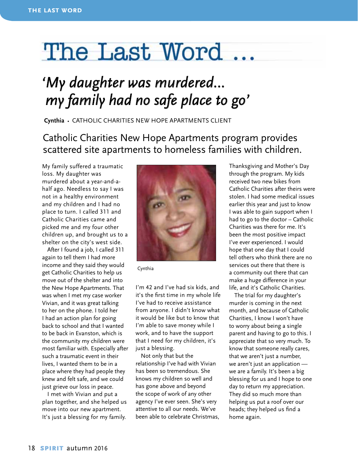# The Last Word

## *'My daughter was murdered… my family had no safe place to go'*

**Cynthia** • CATHOLIC CHARITIES New Hope Apartments Client

#### Catholic Charities New Hope Apartments program provides scattered site apartments to homeless families with children.

My family suffered a traumatic loss. My daughter was murdered about a year-and-ahalf ago. Needless to say I was not in a healthy environment and my children and I had no place to turn. I called 311 and Catholic Charities came and picked me and my four other children up, and brought us to a shelter on the city's west side.

After I found a job, I called 311 again to tell them I had more income and they said they would get Catholic Charities to help us move out of the shelter and into the New Hope Apartments. That was when I met my case worker Vivian, and it was great talking to her on the phone. I told her I had an action plan for going back to school and that I wanted to be back in Evanston, which is the community my children were most familiar with. Especially after such a traumatic event in their lives, I wanted them to be in a place where they had people they knew and felt safe, and we could just grieve our loss in peace.

I met with Vivian and put a plan together, and she helped us move into our new apartment. It's just a blessing for my family.



Cynthia

I'm 42 and I've had six kids, and it's the first time in my whole life I've had to receive assistance from anyone. I didn't know what it would be like but to know that I'm able to save money while I work, and to have the support that I need for my children, it's just a blessing.

Not only that but the relationship I've had with Vivian has been so tremendous. She knows my children so well and has gone above and beyond the scope of work of any other agency I've ever seen. She's very attentive to all our needs. We've been able to celebrate Christmas, Thanksgiving and Mother's Day through the program. My kids received two new bikes from Catholic Charities after theirs were stolen. I had some medical issues earlier this year and just to know I was able to gain support when I had to go to the doctor – Catholic Charities was there for me. It's been the most positive impact I've ever experienced. I would hope that one day that I could tell others who think there are no services out there that there is a community out there that can make a huge difference in your life, and it's Catholic Charities.

The trial for my daughter's murder is coming in the next month, and because of Catholic Charities, I know I won't have to worry about being a single parent and having to go to this. I appreciate that so very much. To know that someone really cares, that we aren't just a number, we aren't just an application we are a family. It's been a big blessing for us and I hope to one day to return my appreciation. They did so much more than helping us put a roof over our heads; they helped us find a home again.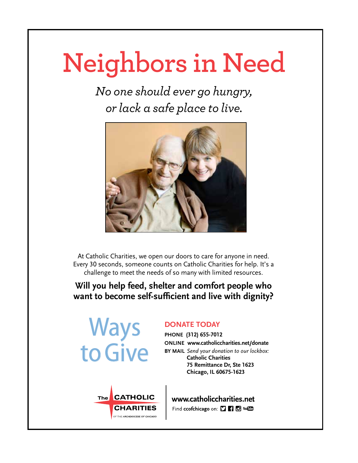# **Neighbors in Need**

*No one should ever go hungry, or lack a safe place to live.*



At Catholic Charities, we open our doors to care for anyone in need. Every 30 seconds, someone counts on Catholic Charities for help. It's a challenge to meet the needs of so many with limited resources.

#### **Will you help feed, shelter and comfort people who want to become self-sufficient and live with dignity?**



#### **DONATE TODAY**

**PHONE (312) 655-7012 ONLINE www.catholiccharities.net/donate BY MAIL** *Send your donation to our lockbox:* **Catholic Charities 75 Remittance Dr, Ste 1623 Chicago, IL 60675-1623**



www.catholiccharities.net Find ccofchicago on: [] [] [] You